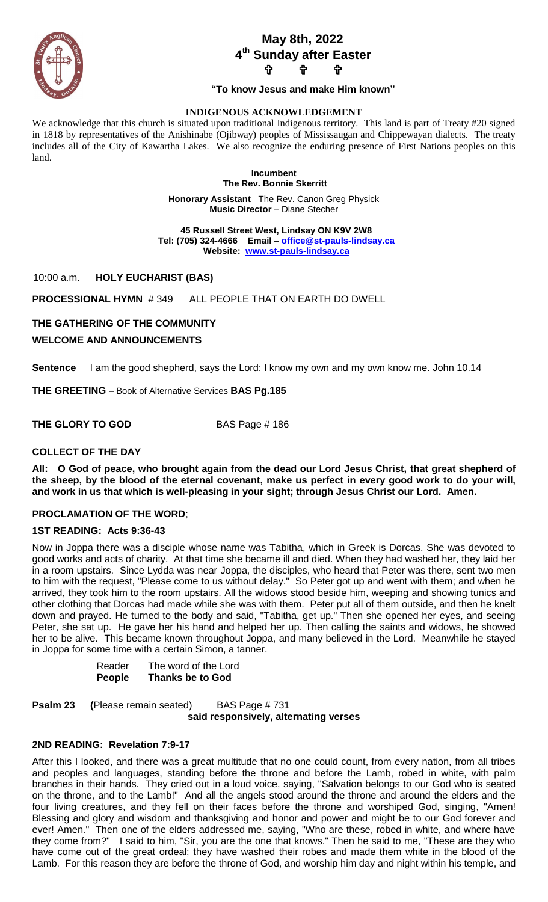

# **May 8th, 2022 4 th Sunday after Easter ታ ቀ**

## **"To know Jesus and make Him known"**

## **INDIGENOUS ACKNOWLEDGEMENT**

We acknowledge that this church is situated upon traditional Indigenous territory. This land is part of Treaty #20 signed in 1818 by representatives of the Anishinabe (Ojibway) peoples of Mississaugan and Chippewayan dialects. The treaty includes all of the City of Kawartha Lakes. We also recognize the enduring presence of First Nations peoples on this land.

#### **Incumbent The Rev. Bonnie Skerritt**

**Honorary Assistant** The Rev. Canon Greg Physick **Music Director** – Diane Stecher

 **45 Russell Street West, Lindsay ON K9V 2W8 Tel: (705) 324-4666 Email – [office@st-pauls-lindsay.ca](mailto:office@st-pauls-lindsay.ca) Website: [www.st-pauls-lindsay.ca](http://www.st-pauls-lindsay.ca/)**

10:00 a.m. **HOLY EUCHARIST (BAS)** 

**PROCESSIONAL HYMN** # 349 ALL PEOPLE THAT ON EARTH DO DWELL

## **THE GATHERING OF THE COMMUNITY**

#### **WELCOME AND ANNOUNCEMENTS**

**Sentence** I am the good shepherd, says the Lord: I know my own and my own know me. John 10.14

**THE GREETING** – Book of Alternative Services **BAS Pg.185**

**THE GLORY TO GOD** BAS Page # 186

#### **COLLECT OF THE DAY**

**All: O God of peace, who brought again from the dead our Lord Jesus Christ, that great shepherd of the sheep, by the blood of the eternal covenant, make us perfect in every good work to do your will, and work in us that which is well-pleasing in your sight; through Jesus Christ our Lord. Amen.**

### **PROCLAMATION OF THE WORD**;

#### **1ST READING: Acts 9:36-43**

Now in Joppa there was a disciple whose name was Tabitha, which in Greek is Dorcas. She was devoted to good works and acts of charity. At that time she became ill and died. When they had washed her, they laid her in a room upstairs. Since Lydda was near Joppa, the disciples, who heard that Peter was there, sent two men to him with the request, "Please come to us without delay." So Peter got up and went with them; and when he arrived, they took him to the room upstairs. All the widows stood beside him, weeping and showing tunics and other clothing that Dorcas had made while she was with them. Peter put all of them outside, and then he knelt down and prayed. He turned to the body and said, "Tabitha, get up." Then she opened her eyes, and seeing Peter, she sat up. He gave her his hand and helped her up. Then calling the saints and widows, he showed her to be alive. This became known throughout Joppa, and many believed in the Lord. Meanwhile he stayed in Joppa for some time with a certain Simon, a tanner.

> Reader The word of the Lord **People Thanks be to God**

**Psalm 23 (**Please remain seated) BAS Page # 731 **said responsively, alternating verses**

#### **2ND READING: Revelation 7:9-17**

After this I looked, and there was a great multitude that no one could count, from every nation, from all tribes and peoples and languages, standing before the throne and before the Lamb, robed in white, with palm branches in their hands. They cried out in a loud voice, saying, "Salvation belongs to our God who is seated on the throne, and to the Lamb!" And all the angels stood around the throne and around the elders and the four living creatures, and they fell on their faces before the throne and worshiped God, singing, "Amen! Blessing and glory and wisdom and thanksgiving and honor and power and might be to our God forever and ever! Amen." Then one of the elders addressed me, saying, "Who are these, robed in white, and where have they come from?" I said to him, "Sir, you are the one that knows." Then he said to me, "These are they who have come out of the great ordeal; they have washed their robes and made them white in the blood of the Lamb. For this reason they are before the throne of God, and worship him day and night within his temple, and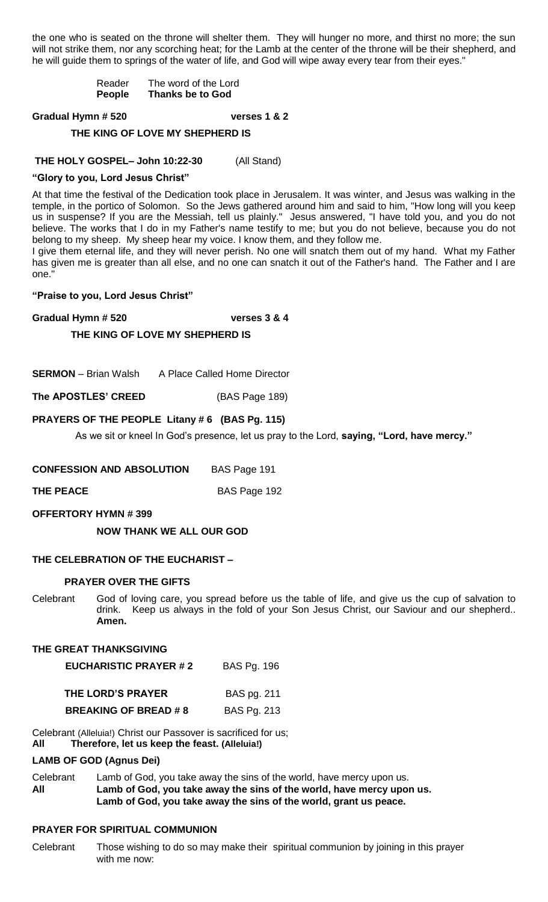the one who is seated on the throne will shelter them. They will hunger no more, and thirst no more; the sun will not strike them, nor any scorching heat; for the Lamb at the center of the throne will be their shepherd, and he will guide them to springs of the water of life, and God will wipe away every tear from their eyes."

> Reader The word of the Lord **People Thanks be to God**

**Gradual Hymn # 520 verses 1 & 2**

## **THE KING OF LOVE MY SHEPHERD IS**

### **THE HOLY GOSPEL– John 10:22-30** (All Stand)

#### **"Glory to you, Lord Jesus Christ"**

At that time the festival of the Dedication took place in Jerusalem. It was winter, and Jesus was walking in the temple, in the portico of Solomon. So the Jews gathered around him and said to him, "How long will you keep us in suspense? If you are the Messiah, tell us plainly." Jesus answered, "I have told you, and you do not believe. The works that I do in my Father's name testify to me; but you do not believe, because you do not belong to my sheep. My sheep hear my voice. I know them, and they follow me.

I give them eternal life, and they will never perish. No one will snatch them out of my hand. What my Father has given me is greater than all else, and no one can snatch it out of the Father's hand. The Father and I are one."

#### **"Praise to you, Lord Jesus Christ"**

#### **Gradual Hymn # 520 verses 3 & 4**

### **THE KING OF LOVE MY SHEPHERD IS**

**SERMON** – Brian Walsh A Place Called Home Director

**The APOSTLES' CREED** (BAS Page 189)

## **PRAYERS OF THE PEOPLE Litany # 6 (BAS Pg. 115)**

As we sit or kneel In God's presence, let us pray to the Lord, **saying, "Lord, have mercy."**

**CONFESSION AND ABSOLUTION** BAS Page 191

**THE PEACE** BAS Page 192

#### **OFFERTORY HYMN # 399**

### **NOW THANK WE ALL OUR GOD**

## **THE CELEBRATION OF THE EUCHARIST –**

### **PRAYER OVER THE GIFTS**

Celebrant God of loving care, you spread before us the table of life, and give us the cup of salvation to drink. Keep us always in the fold of your Son Jesus Christ, our Saviour and our shepherd.. **Amen.**

## **THE GREAT THANKSGIVING**

| <b>EUCHARISTIC PRAYER #2</b> | <b>BAS Pg. 196</b> |
|------------------------------|--------------------|
|------------------------------|--------------------|

| THE LORD'S PRAYER           | BAS pg. 211        |
|-----------------------------|--------------------|
| <b>BREAKING OF BREAD #8</b> | <b>BAS Pg. 213</b> |

Celebrant (Alleluia!) Christ our Passover is sacrificed for us;

## **All Therefore, let us keep the feast. (Alleluia!)**

### **LAMB OF GOD (Agnus Dei)**

Celebrant Lamb of God, you take away the sins of the world, have mercy upon us. **All Lamb of God, you take away the sins of the world, have mercy upon us. Lamb of God, you take away the sins of the world, grant us peace.** 

### **PRAYER FOR SPIRITUAL COMMUNION**

Celebrant Those wishing to do so may make their spiritual communion by joining in this prayer with me now: